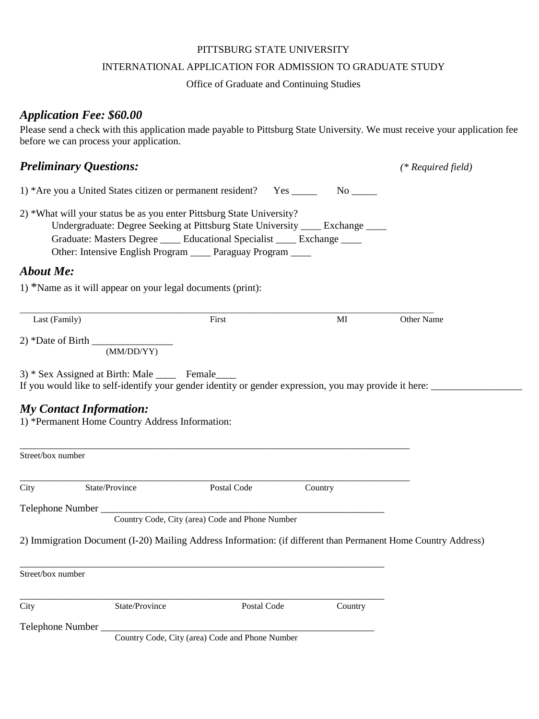### PITTSBURG STATE UNIVERSITY

#### INTERNATIONAL APPLICATION FOR ADMISSION TO GRADUATE STUDY

### Office of Graduate and Continuing Studies

## *Application Fee: \$60.00*

Please send a check with this application made payable to Pittsburg State University. We must receive your application fee before we can process your application.

# *Preliminary Questions: (\* Required field)*

| 1) *Are you a United States citizen or permanent resident? Yes |  | No. |
|----------------------------------------------------------------|--|-----|
|----------------------------------------------------------------|--|-----|

2) \*What will your status be as you enter Pittsburg State University? Undergraduate: Degree Seeking at Pittsburg State University \_\_\_\_ Exchange \_\_\_\_ Graduate: Masters Degree <br> Educational Specialist Exchange Other: Intensive English Program Paraguay Program

## *About Me:*

1) \*Name as it will appear on your legal documents (print):

| Last (Family)     | First | MI | Other Name |
|-------------------|-------|----|------------|
| 2) *Date of Birth |       |    |            |

(MM/DD/YY)

3) \* Sex Assigned at Birth: Male \_\_\_\_ Female\_\_\_\_ If you would like to self-identify your gender identity or gender expression, you may provide it here: \_\_\_\_\_\_\_\_\_\_\_\_\_\_\_\_\_\_

## *My Contact Information:*

1) \*Permanent Home Country Address Information:

| Street/box number |                                                                                                                |                                                 |         |  |
|-------------------|----------------------------------------------------------------------------------------------------------------|-------------------------------------------------|---------|--|
| City              | State/Province                                                                                                 | Postal Code                                     | Country |  |
|                   |                                                                                                                |                                                 |         |  |
|                   |                                                                                                                | Country Code, City (area) Code and Phone Number |         |  |
|                   | 2) Immigration Document (I-20) Mailing Address Information: (if different than Permanent Home Country Address) |                                                 |         |  |
|                   |                                                                                                                |                                                 |         |  |
| Street/box number |                                                                                                                |                                                 |         |  |
| City              | State/Province                                                                                                 | Postal Code                                     | Country |  |
|                   |                                                                                                                |                                                 |         |  |
|                   |                                                                                                                |                                                 |         |  |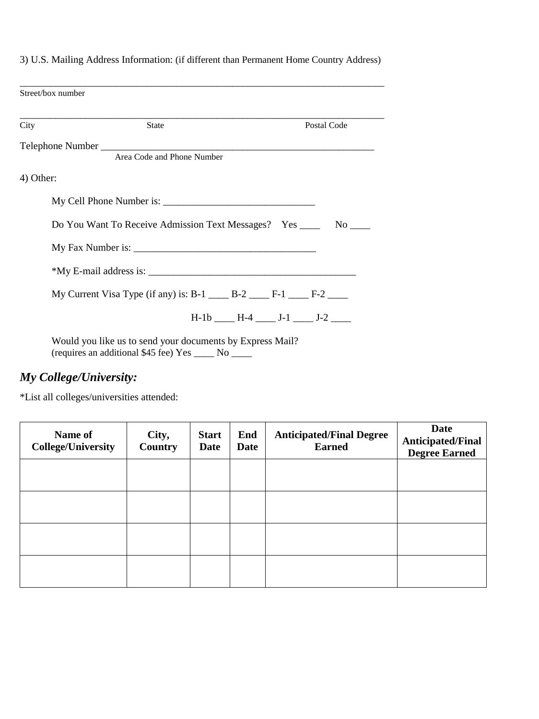| Street/box number |                                                                                                                   |
|-------------------|-------------------------------------------------------------------------------------------------------------------|
| City              | Postal Code<br><b>State</b>                                                                                       |
|                   | Area Code and Phone Number                                                                                        |
| 4) Other:         |                                                                                                                   |
|                   |                                                                                                                   |
|                   | Do You Want To Receive Admission Text Messages? Yes _______ No _____                                              |
|                   |                                                                                                                   |
|                   |                                                                                                                   |
|                   | My Current Visa Type (if any) is: B-1 _____ B-2 _____ F-1 ____ F-2 ____                                           |
|                   | $H-1b$ $H-4$ $J-1$ $J-2$ $J-2$                                                                                    |
|                   | Would you like us to send your documents by Express Mail?<br>(requires an additional \$45 fee) Yes _____ No _____ |

# 3) U.S. Mailing Address Information: (if different than Permanent Home Country Address)

# *My College/University:*

\*List all colleges/universities attended:

| Name of<br><b>College/University</b> | City,<br>Country | <b>Start</b><br>Date | End<br>Date | <b>Anticipated/Final Degree</b><br><b>Earned</b> | <b>Date</b><br><b>Anticipated/Final</b><br><b>Degree Earned</b> |
|--------------------------------------|------------------|----------------------|-------------|--------------------------------------------------|-----------------------------------------------------------------|
|                                      |                  |                      |             |                                                  |                                                                 |
|                                      |                  |                      |             |                                                  |                                                                 |
|                                      |                  |                      |             |                                                  |                                                                 |
|                                      |                  |                      |             |                                                  |                                                                 |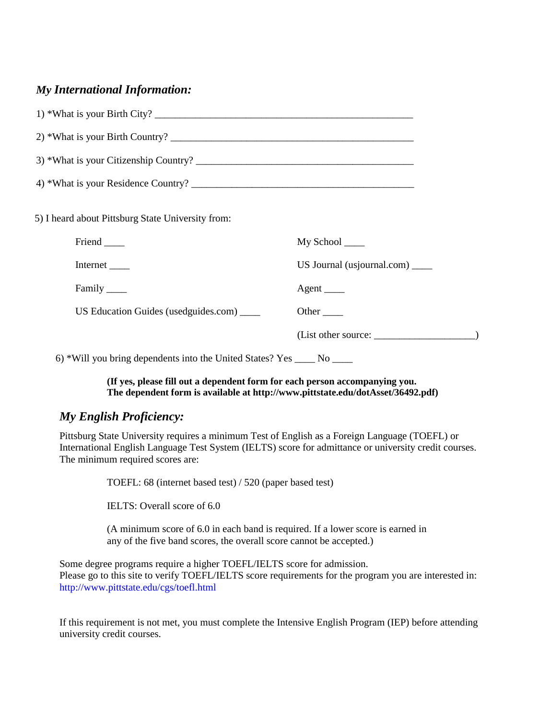# *My International Information:*

| 1) *What is your Birth City?                                             |                                   |
|--------------------------------------------------------------------------|-----------------------------------|
|                                                                          |                                   |
|                                                                          |                                   |
|                                                                          |                                   |
| 5) I heard about Pittsburg State University from:                        |                                   |
| Friend ______                                                            | My School _____                   |
| Internet _______                                                         | US Journal (usjournal.com) $\_\_$ |
| Family _______                                                           | Agent ______                      |
| US Education Guides (usedguides.com) _____                               | Other <sub>_____</sub>            |
|                                                                          |                                   |
| 6) *Will you bring dependents into the United States? Yes _____ No _____ |                                   |

### **(If yes, please fill out a dependent form for each person accompanying you. The dependent form is available at http://www.pittstate.edu/dotAsset/36492.pdf)**

# *My English Proficiency:*

Pittsburg State University requires a minimum Test of English as a Foreign Language (TOEFL) or International English Language Test System (IELTS) score for admittance or university credit courses. The minimum required scores are:

TOEFL: 68 (internet based test) / 520 (paper based test)

IELTS: Overall score of 6.0

(A minimum score of 6.0 in each band is required. If a lower score is earned in any of the five band scores, the overall score cannot be accepted.)

Some degree programs require a higher TOEFL/IELTS score for admission. Please go to this site to verify TOEFL/IELTS score requirements for the program you are interested in: http://www.pittstate.edu/cgs/toefl.html

If this requirement is not met, you must complete the Intensive English Program (IEP) before attending university credit courses.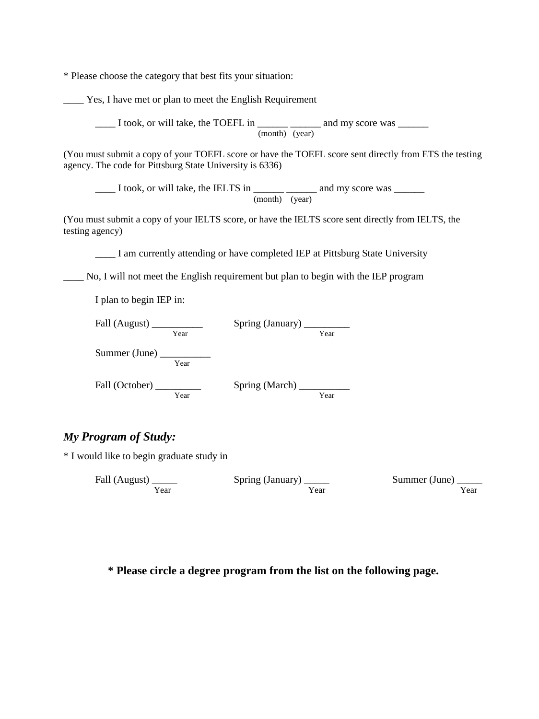\* Please choose the category that best fits your situation:

\_\_\_\_ Yes, I have met or plan to meet the English Requirement

\_\_\_\_ I took, or will take, the TOEFL in \_\_\_\_\_\_ \_\_\_\_\_\_ and my score was \_\_\_\_\_\_ (month) (year)

(You must submit a copy of your TOEFL score or have the TOEFL score sent directly from ETS the testing agency. The code for Pittsburg State University is 6336)

L took, or will take, the IELTS in \_\_\_\_\_\_\_ \_\_\_\_\_\_\_ and my score was \_\_\_\_\_\_ (month) (year)

(You must submit a copy of your IELTS score, or have the IELTS score sent directly from IELTS, the testing agency)

\_\_\_\_ I am currently attending or have completed IEP at Pittsburg State University

\_\_\_\_ No, I will not meet the English requirement but plan to begin with the IEP program

I plan to begin IEP in:

| Fall (August) _______ |      | Spring (January) ____ |      |
|-----------------------|------|-----------------------|------|
|                       | Year |                       | Year |
| Summer (June) $\_$    |      |                       |      |
|                       | Year |                       |      |
| Fall (October)        |      | Spring (March)        |      |
|                       | Year |                       | Year |

## *My Program of Study:*

\* I would like to begin graduate study in

| Fall (August) | Spring (January) _____ | Summer (June) |
|---------------|------------------------|---------------|
| Year          | Year                   | Year          |

**\* Please circle a degree program from the list on the following page.**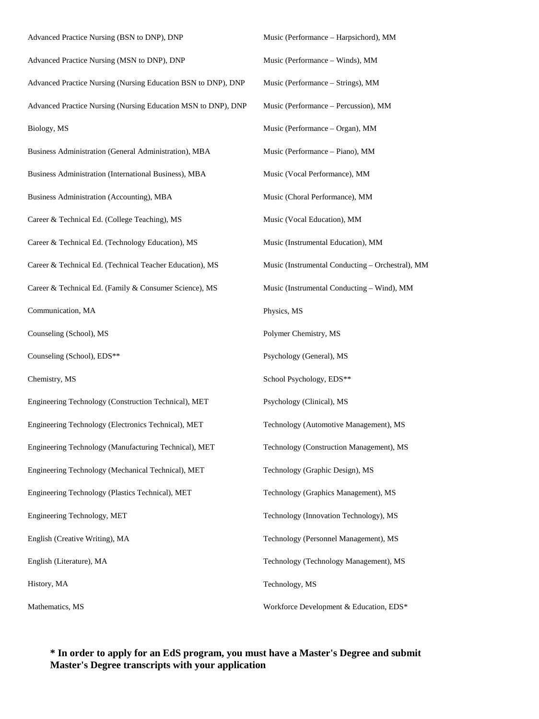Advanced Practice Nursing (BSN to DNP), DNP Advanced Practice Nursing (MSN to DNP), DNP Advanced Practice Nursing (Nursing Education BSN to DNP), DNP Advanced Practice Nursing (Nursing Education MSN to DNP), DNP Biology, MS Business Administration (General Administration), MBA Business Administration (International Business), MBA Business Administration (Accounting), MBA Career & Technical Ed. (College Teaching), MS Career & Technical Ed. (Technology Education), MS Career & Technical Ed. (Technical Teacher Education), MS Career & Technical Ed. (Family & Consumer Science), MS Communication, MA Counseling (School), MS Counseling (School), EDS\*\* Chemistry, MS Engineering Technology (Construction Technical), MET Engineering Technology (Electronics Technical), MET Engineering Technology (Manufacturing Technical), MET Engineering Technology (Mechanical Technical), MET Engineering Technology (Plastics Technical), MET Engineering Technology, MET English (Creative Writing), MA English (Literature), MA History, MA Mathematics, MS Music (Performance – Harpsichord), MM Music (Performance – Winds), MM Music (Performance – Strings), MM Music (Performance – Percussion), MM Music (Performance – Organ), MM Music (Performance – Piano), MM Music (Vocal Performance), MM Music (Choral Performance), MM Music (Vocal Education), MM Music (Instrumental Education), MM Music (Instrumental Conducting – Orchestral), MM Music (Instrumental Conducting – Wind), MM Physics, MS Polymer Chemistry, MS Psychology (General), MS School Psychology, EDS\*\* Psychology (Clinical), MS Technology (Automotive Management), MS Technology (Construction Management), MS Technology (Graphic Design), MS Technology (Graphics Management), MS Technology (Innovation Technology), MS Technology (Personnel Management), MS Technology (Technology Management), MS Technology, MS Workforce Development & Education, EDS\*

### **\* In order to apply for an EdS program, you must have a Master's Degree and submit Master's Degree transcripts with your application**